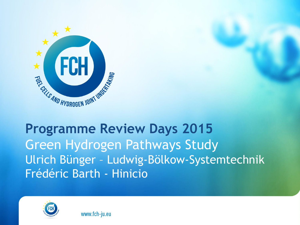

# **Programme Review Days 2015** Green Hydrogen Pathways Study Ulrich Bünger – Ludwig-Bölkow-Systemtechnik Frédéric Barth - Hinicio

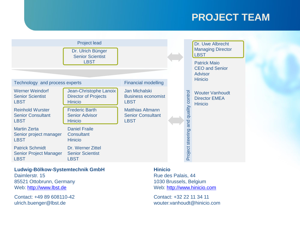#### **PROJECT TEAM**



#### **Ludwig-Bölkow-Systemtechnik GmbH**

Daimlerstr. 15 85521 Ottobrunn, Germany Web: [http://www.lbst.de](http://www.lbst.de/)

Contact: +49 89 608110-42 ulrich.buenger@lbst.de

#### **Hinicio**

Rue des Palais, 44 1030 Brussels, Belgium Web: [http://www.hinicio.com](http://www.hinicio.com/)

Contact: +32 22 11 34 11 wouter.vanhoudt@hinicio.com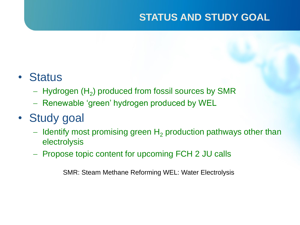## **STATUS AND STUDY GOAL**

## • Status

- $-$  Hydrogen (H $_{\rm 2}$ ) produced from fossil sources by SMR
- Renewable 'green' hydrogen produced by WEL
- Study goal
	- $-$  Identify most promising green H<sub>2</sub> production pathways other than electrolysis
	- Propose topic content for upcoming FCH 2 JU calls

SMR: Steam Methane Reforming WEL: Water Electrolysis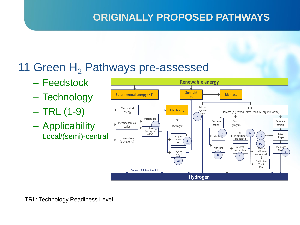## **ORIGINALLY PROPOSED PATHWAYS**

## 11 Green  $H_2$  Pathways pre-assessed

- Feedstock
- Technology
- $-$  TRL (1-9)
- Applicability Local/(semi)-central

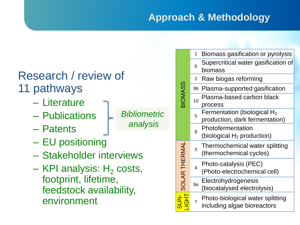## **Approach & Methodology**

## Research / review of 11 pathways

- Literature
- Publications
- Patents
- EU positioning
- Stakeholder interviews
- KPI analysis:  $H<sub>2</sub>$  costs, footprint, lifetime, feedstock availability, environment

| <b>BIOMASS</b>       | 1                       | Biomass gasification or pyrolysis                                |
|----------------------|-------------------------|------------------------------------------------------------------|
|                      | 6                       | Supercritical water gasification of<br>biomass                   |
|                      | 2                       | Raw biogas reforming                                             |
|                      | 9b                      | Plasma-supported gasification                                    |
|                      | 10                      | Plasma-based carbon black<br>process                             |
|                      | 5                       | Fermentation (biological $H_2$<br>production, dark fermentation) |
|                      | 8                       | Photofermentation<br>(biological $H_2$ production)               |
| <b>SOLAR THERMAL</b> | 3                       | Thermochemical water splitting<br>(thermochemical cycles)        |
|                      | $\overline{\mathbf{4}}$ | Photo-catalysis (PEC)<br>(Photo-electrochemical cell)            |
|                      | 9a                      | Electrohydrogenesis<br>(biocatalysed electrolysis)               |
|                      | $\overline{7}$          | Photo-biological water splitting<br>including algae bioreactors  |

*Bibliometric analysis*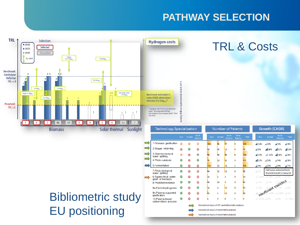### **PATHWAY SELECTION**

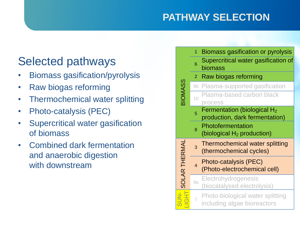## **PATHWAY SELECTION**

## Selected pathways

- Biomass gasification/pyrolysis
- Raw biogas reforming
- Thermochemical water splitting
- Photo-catalysis (PEC)
- Supercritical water gasification of biomass
- Combined dark fermentation and anaerobic digestion with downstream

| <b>BIOMASS</b>       | 1              | Biomass gasification or pyrolysis                                |
|----------------------|----------------|------------------------------------------------------------------|
|                      | 6              | Supercritical water gasification of<br>biomass                   |
|                      | $\overline{2}$ | Raw biogas reforming                                             |
|                      | 9b             | Plasma-supported gasification                                    |
|                      | 10             | Plasma-based carbon black<br>process                             |
|                      | 5              | Fermentation (biological $H_2$<br>production, dark fermentation) |
|                      | 8              | Photofermentation<br>(biological $H_2$ production)               |
| <b>SOLAR THERMAL</b> | 3              | <b>Thermochemical water splitting</b><br>(thermochemical cycles) |
|                      | $\overline{4}$ | Photo-catalysis (PEC)<br>(Photo-electrochemical cell)            |
|                      | 9a             | Electrohydrogenesis<br>(biocatalysed electrolysis)               |
|                      |                | Photo-biological water splitting<br>including algae bioreactors  |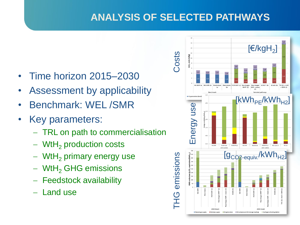## **ANALYSIS OF SELECTED PATHWAYS**

- Time horizon 2015–2030
- Assessment by applicability
- Benchmark: WEL /SMR
- Key parameters:
	- TRL on path to commercialisation
	- $-$  WtH<sub>2</sub> production costs
	- $-$  WtH<sub>2</sub> primary energy use
	- WtH<sub>2</sub> GHG emissions
	- Feedstock availability
	- Land use

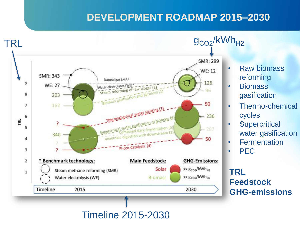### **DEVELOPMENT ROADMAP 2015–2030**



- **Raw biomass** reforming
- Biomass gasification
- Thermo-chemical cycles
- **Supercritical** water gasification
- **Fermentation**

• PEC

**TRL Feedstock GHG-emissions**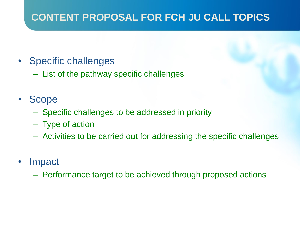## **CONTENT PROPOSAL FOR FCH JU CALL TOPICS**

- Specific challenges
	- List of the pathway specific challenges

## • Scope

- Specific challenges to be addressed in priority
- Type of action
- Activities to be carried out for addressing the specific challenges
- Impact
	- Performance target to be achieved through proposed actions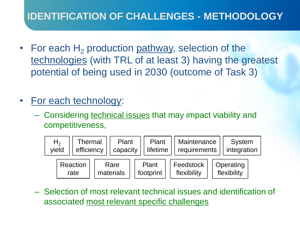## **IDENTIFICATION OF CHALLENGES - METHODOLOGY**

- For each  $H<sub>2</sub>$  production pathway, selection of the technologies (with TRL of at least 3) having the greatest potential of being used in 2030 (outcome of Task 3)
- For each technology:
	- Considering technical issues that may impact viability and competitiveness,



– Selection of most relevant technical issues and identification of associated most relevant specific challenges